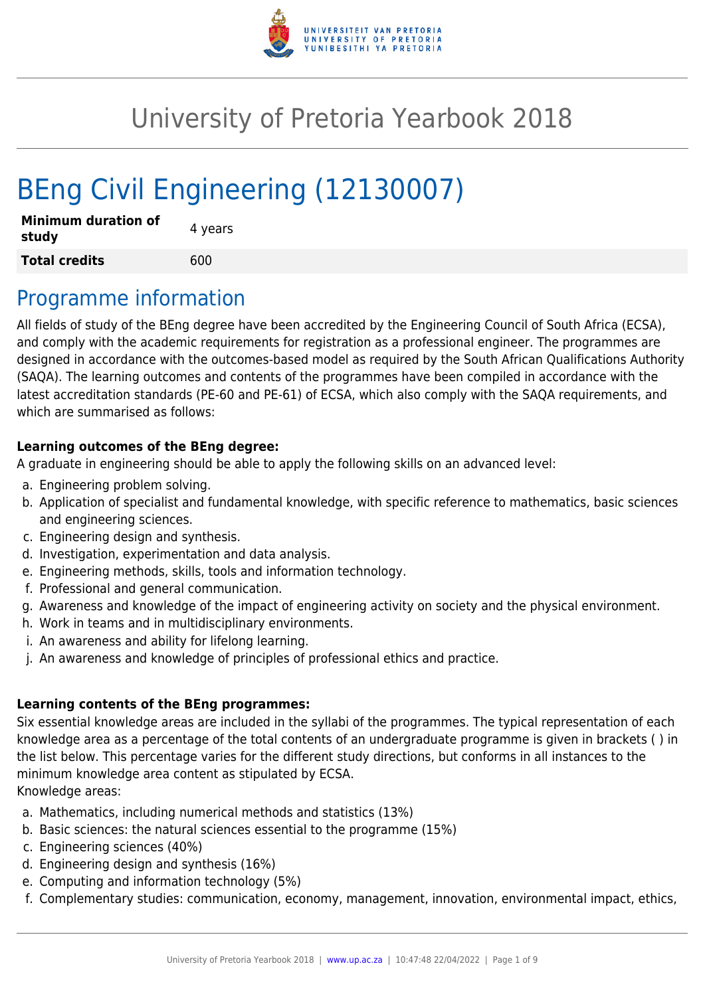

# University of Pretoria Yearbook 2018

# BEng Civil Engineering (12130007)

| <b>Minimum duration of</b><br>study | 4 years |
|-------------------------------------|---------|
| <b>Total credits</b>                | 600     |

# Programme information

All fields of study of the BEng degree have been accredited by the Engineering Council of South Africa (ECSA), and comply with the academic requirements for registration as a professional engineer. The programmes are designed in accordance with the outcomes-based model as required by the South African Qualifications Authority (SAQA). The learning outcomes and contents of the programmes have been compiled in accordance with the latest accreditation standards (PE-60 and PE-61) of ECSA, which also comply with the SAQA requirements, and which are summarised as follows:

#### **Learning outcomes of the BEng degree:**

A graduate in engineering should be able to apply the following skills on an advanced level:

- a. Engineering problem solving.
- b. Application of specialist and fundamental knowledge, with specific reference to mathematics, basic sciences and engineering sciences.
- c. Engineering design and synthesis.
- d. Investigation, experimentation and data analysis.
- e. Engineering methods, skills, tools and information technology.
- f. Professional and general communication.
- g. Awareness and knowledge of the impact of engineering activity on society and the physical environment.
- h. Work in teams and in multidisciplinary environments.
- i. An awareness and ability for lifelong learning.
- j. An awareness and knowledge of principles of professional ethics and practice.

#### **Learning contents of the BEng programmes:**

Six essential knowledge areas are included in the syllabi of the programmes. The typical representation of each knowledge area as a percentage of the total contents of an undergraduate programme is given in brackets ( ) in the list below. This percentage varies for the different study directions, but conforms in all instances to the minimum knowledge area content as stipulated by ECSA. Knowledge areas:

- a. Mathematics, including numerical methods and statistics (13%)
- b. Basic sciences: the natural sciences essential to the programme (15%)
- c. Engineering sciences (40%)
- d. Engineering design and synthesis (16%)
- e. Computing and information technology (5%)
- f. Complementary studies: communication, economy, management, innovation, environmental impact, ethics,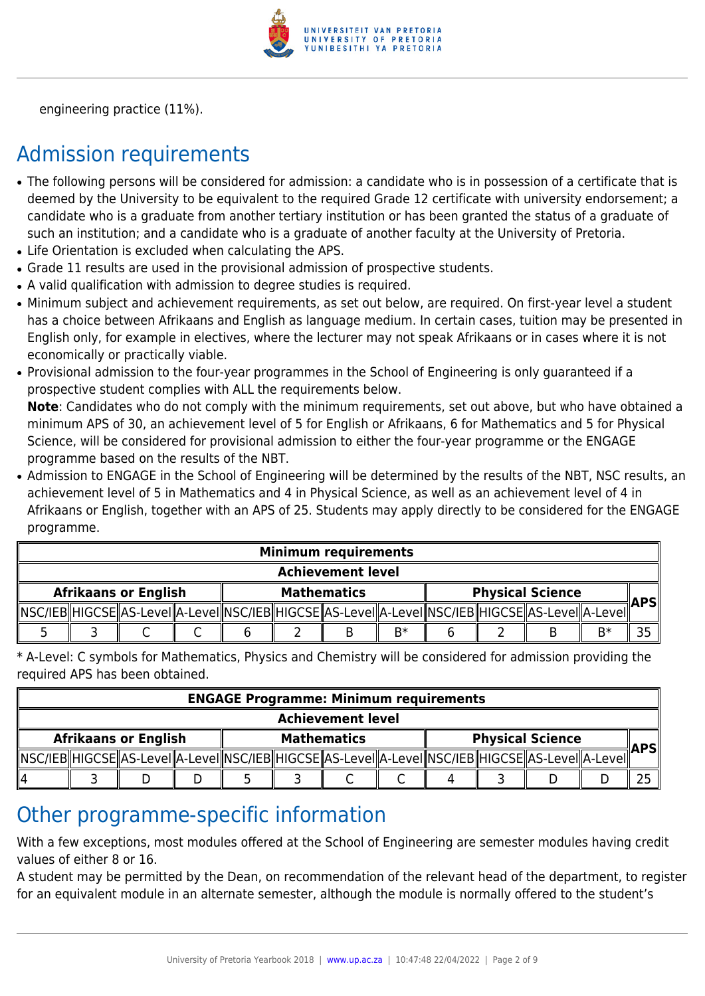

engineering practice (11%).

# Admission requirements

- The following persons will be considered for admission: a candidate who is in possession of a certificate that is deemed by the University to be equivalent to the required Grade 12 certificate with university endorsement; a candidate who is a graduate from another tertiary institution or has been granted the status of a graduate of such an institution; and a candidate who is a graduate of another faculty at the University of Pretoria.
- Life Orientation is excluded when calculating the APS.
- Grade 11 results are used in the provisional admission of prospective students.
- A valid qualification with admission to degree studies is required.
- Minimum subject and achievement requirements, as set out below, are required. On first-year level a student has a choice between Afrikaans and English as language medium. In certain cases, tuition may be presented in English only, for example in electives, where the lecturer may not speak Afrikaans or in cases where it is not economically or practically viable.
- Provisional admission to the four-year programmes in the School of Engineering is only guaranteed if a prospective student complies with ALL the requirements below.

**Note**: Candidates who do not comply with the minimum requirements, set out above, but who have obtained a minimum APS of 30, an achievement level of 5 for English or Afrikaans, 6 for Mathematics and 5 for Physical Science, will be considered for provisional admission to either the four-year programme or the ENGAGE programme based on the results of the NBT.

• Admission to ENGAGE in the School of Engineering will be determined by the results of the NBT, NSC results, an achievement level of 5 in Mathematics and 4 in Physical Science, as well as an achievement level of 4 in Afrikaans or English, together with an APS of 25. Students may apply directly to be considered for the ENGAGE programme.

| <b>Minimum requirements</b> |  |  |  |                    |  |                                                                                                            |      |                         |  |  |    |            |
|-----------------------------|--|--|--|--------------------|--|------------------------------------------------------------------------------------------------------------|------|-------------------------|--|--|----|------------|
| <b>Achievement level</b>    |  |  |  |                    |  |                                                                                                            |      |                         |  |  |    |            |
| <b>Afrikaans or English</b> |  |  |  | <b>Mathematics</b> |  |                                                                                                            |      | <b>Physical Science</b> |  |  |    | <b>APS</b> |
|                             |  |  |  |                    |  | NSC/IEB  HIGCSE  AS-LeveI  A-LeveI  NSC/IEB  HIGCSE  AS-LeveI  A-LeveI  NSC/IEB  HIGCSE  AS-LeveI  A-LeveI |      |                         |  |  |    |            |
|                             |  |  |  |                    |  |                                                                                                            | $R*$ |                         |  |  | B* |            |

\* A-Level: C symbols for Mathematics, Physics and Chemistry will be considered for admission providing the required APS has been obtained.

| <b>ENGAGE Programme: Minimum requirements</b> |  |  |  |                    |  |                                                                                                            |  |                         |  |  |  |            |
|-----------------------------------------------|--|--|--|--------------------|--|------------------------------------------------------------------------------------------------------------|--|-------------------------|--|--|--|------------|
| <b>Achievement level</b>                      |  |  |  |                    |  |                                                                                                            |  |                         |  |  |  |            |
| <b>Afrikaans or English</b>                   |  |  |  | <b>Mathematics</b> |  |                                                                                                            |  | <b>Physical Science</b> |  |  |  | <b>APS</b> |
|                                               |  |  |  |                    |  | NSC/IEB  HIGCSE  AS-LeveI  A-LeveI  NSC/IEB  HIGCSE  AS-LeveI  A-LeveI  NSC/IEB  HIGCSE  AS-LeveI  A-LeveI |  |                         |  |  |  |            |
| 114                                           |  |  |  |                    |  |                                                                                                            |  |                         |  |  |  |            |

### Other programme-specific information

With a few exceptions, most modules offered at the School of Engineering are semester modules having credit values of either 8 or 16.

A student may be permitted by the Dean, on recommendation of the relevant head of the department, to register for an equivalent module in an alternate semester, although the module is normally offered to the student's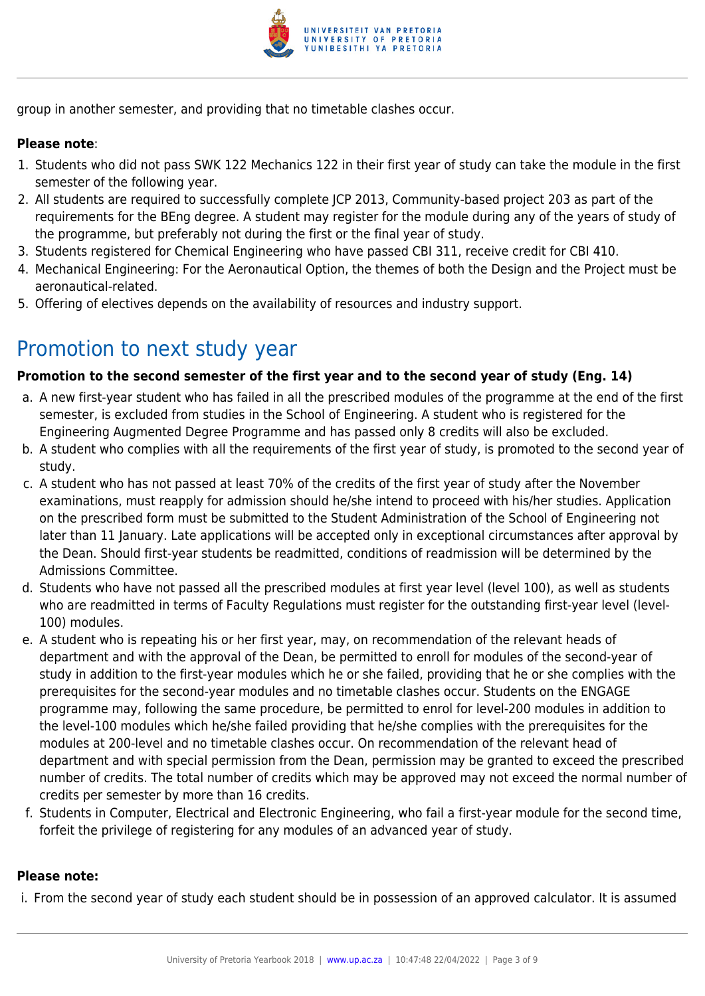

group in another semester, and providing that no timetable clashes occur.

#### **Please note**:

- 1. Students who did not pass SWK 122 Mechanics 122 in their first year of study can take the module in the first semester of the following year.
- 2. All students are required to successfully complete JCP 2013, Community-based project 203 as part of the requirements for the BEng degree. A student may register for the module during any of the years of study of the programme, but preferably not during the first or the final year of study.
- 3. Students registered for Chemical Engineering who have passed CBI 311, receive credit for CBI 410.
- 4. Mechanical Engineering: For the Aeronautical Option, the themes of both the Design and the Project must be aeronautical-related.
- 5. Offering of electives depends on the availability of resources and industry support.

### Promotion to next study year

#### **Promotion to the second semester of the first year and to the second year of study (Eng. 14)**

- a. A new first-year student who has failed in all the prescribed modules of the programme at the end of the first semester, is excluded from studies in the School of Engineering. A student who is registered for the Engineering Augmented Degree Programme and has passed only 8 credits will also be excluded.
- b. A student who complies with all the requirements of the first year of study, is promoted to the second year of study.
- c. A student who has not passed at least 70% of the credits of the first year of study after the November examinations, must reapply for admission should he/she intend to proceed with his/her studies. Application on the prescribed form must be submitted to the Student Administration of the School of Engineering not later than 11 January. Late applications will be accepted only in exceptional circumstances after approval by the Dean. Should first-year students be readmitted, conditions of readmission will be determined by the Admissions Committee.
- d. Students who have not passed all the prescribed modules at first year level (level 100), as well as students who are readmitted in terms of Faculty Regulations must register for the outstanding first-year level (level-100) modules.
- e. A student who is repeating his or her first year, may, on recommendation of the relevant heads of department and with the approval of the Dean, be permitted to enroll for modules of the second-year of study in addition to the first-year modules which he or she failed, providing that he or she complies with the prerequisites for the second-year modules and no timetable clashes occur. Students on the ENGAGE programme may, following the same procedure, be permitted to enrol for level-200 modules in addition to the level-100 modules which he/she failed providing that he/she complies with the prerequisites for the modules at 200-level and no timetable clashes occur. On recommendation of the relevant head of department and with special permission from the Dean, permission may be granted to exceed the prescribed number of credits. The total number of credits which may be approved may not exceed the normal number of credits per semester by more than 16 credits.
- f. Students in Computer, Electrical and Electronic Engineering, who fail a first-year module for the second time, forfeit the privilege of registering for any modules of an advanced year of study.

#### **Please note:**

i. From the second year of study each student should be in possession of an approved calculator. It is assumed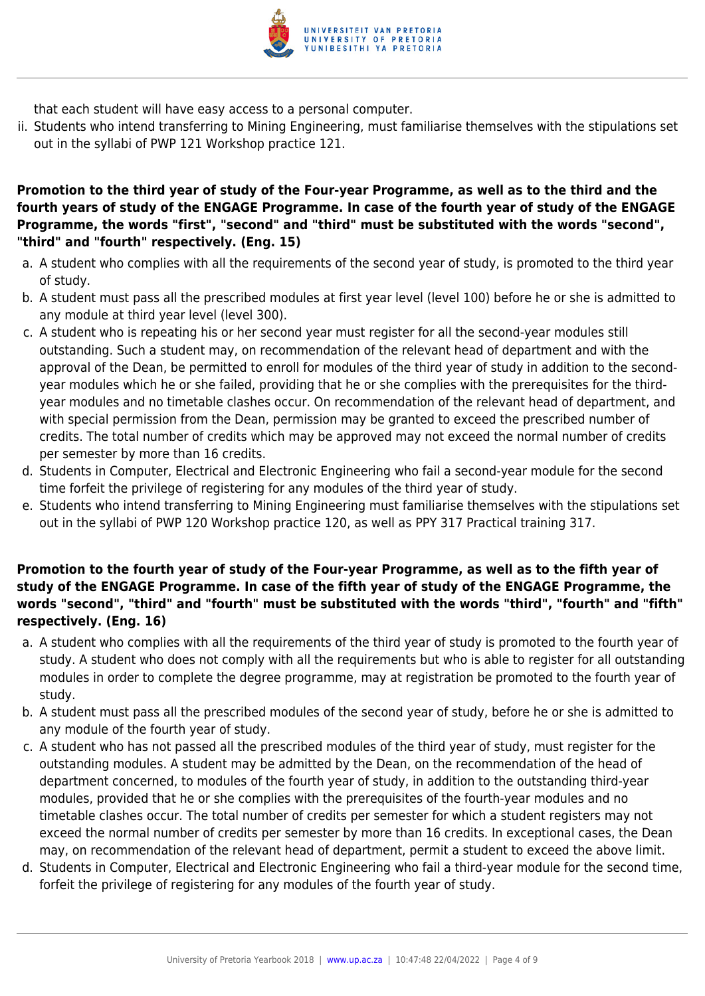

that each student will have easy access to a personal computer.

ii. Students who intend transferring to Mining Engineering, must familiarise themselves with the stipulations set out in the syllabi of PWP 121 Workshop practice 121.

#### **Promotion to the third year of study of the Four-year Programme, as well as to the third and the fourth years of study of the ENGAGE Programme. In case of the fourth year of study of the ENGAGE Programme, the words "first", "second" and "third" must be substituted with the words "second", "third" and "fourth" respectively. (Eng. 15)**

- a. A student who complies with all the requirements of the second year of study, is promoted to the third year of study.
- b. A student must pass all the prescribed modules at first year level (level 100) before he or she is admitted to any module at third year level (level 300).
- c. A student who is repeating his or her second year must register for all the second-year modules still outstanding. Such a student may, on recommendation of the relevant head of department and with the approval of the Dean, be permitted to enroll for modules of the third year of study in addition to the secondyear modules which he or she failed, providing that he or she complies with the prerequisites for the thirdyear modules and no timetable clashes occur. On recommendation of the relevant head of department, and with special permission from the Dean, permission may be granted to exceed the prescribed number of credits. The total number of credits which may be approved may not exceed the normal number of credits per semester by more than 16 credits.
- d. Students in Computer, Electrical and Electronic Engineering who fail a second-year module for the second time forfeit the privilege of registering for any modules of the third year of study.
- e. Students who intend transferring to Mining Engineering must familiarise themselves with the stipulations set out in the syllabi of PWP 120 Workshop practice 120, as well as PPY 317 Practical training 317.

#### **Promotion to the fourth year of study of the Four-year Programme, as well as to the fifth year of study of the ENGAGE Programme. In case of the fifth year of study of the ENGAGE Programme, the words "second", "third" and "fourth" must be substituted with the words "third", "fourth" and "fifth" respectively. (Eng. 16)**

- a. A student who complies with all the requirements of the third year of study is promoted to the fourth year of study. A student who does not comply with all the requirements but who is able to register for all outstanding modules in order to complete the degree programme, may at registration be promoted to the fourth year of study.
- b. A student must pass all the prescribed modules of the second year of study, before he or she is admitted to any module of the fourth year of study.
- c. A student who has not passed all the prescribed modules of the third year of study, must register for the outstanding modules. A student may be admitted by the Dean, on the recommendation of the head of department concerned, to modules of the fourth year of study, in addition to the outstanding third-year modules, provided that he or she complies with the prerequisites of the fourth-year modules and no timetable clashes occur. The total number of credits per semester for which a student registers may not exceed the normal number of credits per semester by more than 16 credits. In exceptional cases, the Dean may, on recommendation of the relevant head of department, permit a student to exceed the above limit.
- d. Students in Computer, Electrical and Electronic Engineering who fail a third-year module for the second time, forfeit the privilege of registering for any modules of the fourth year of study.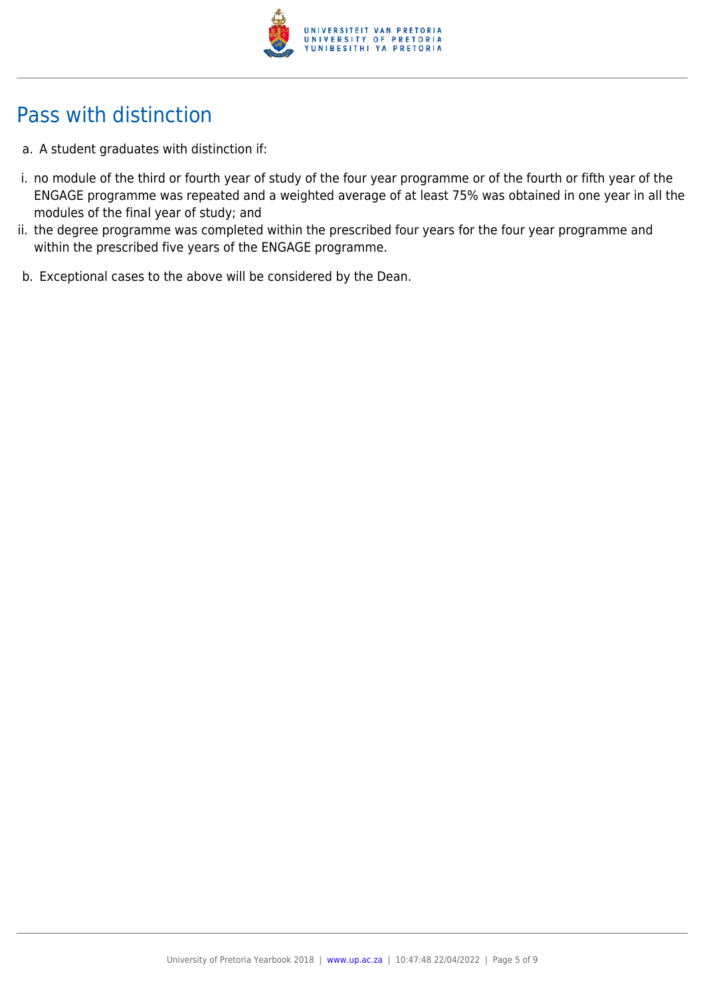

# Pass with distinction

- a. A student graduates with distinction if:
- i. no module of the third or fourth year of study of the four year programme or of the fourth or fifth year of the ENGAGE programme was repeated and a weighted average of at least 75% was obtained in one year in all the modules of the final year of study; and
- ii. the degree programme was completed within the prescribed four years for the four year programme and within the prescribed five years of the ENGAGE programme.
- b. Exceptional cases to the above will be considered by the Dean.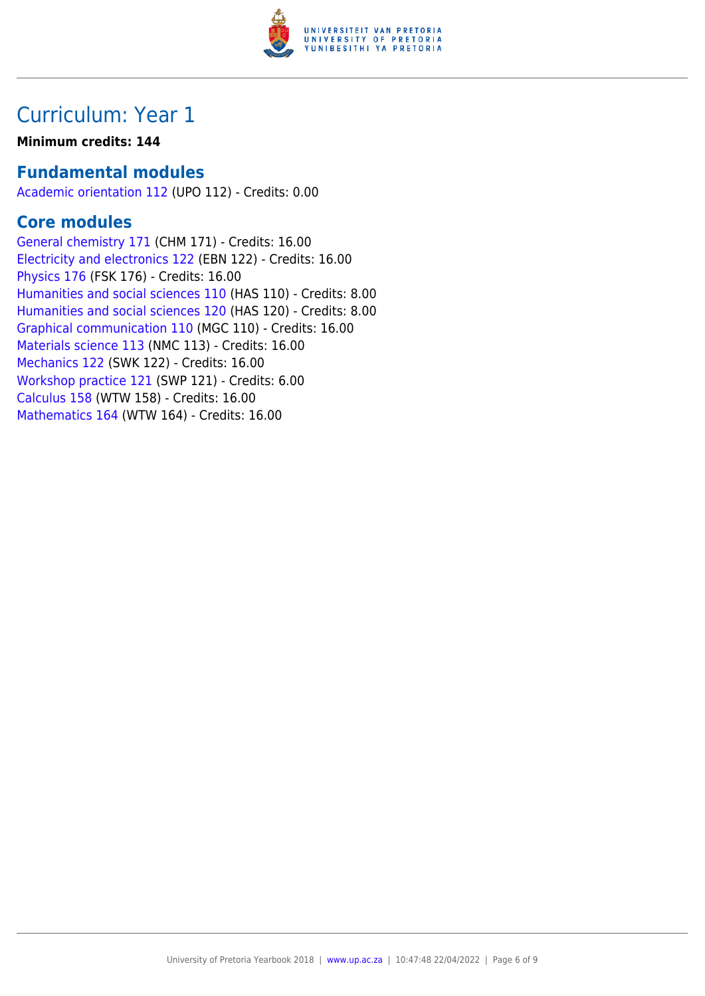

# Curriculum: Year 1

### **Minimum credits: 144**

### **Fundamental modules**

[Academic orientation 112](https://www.up.ac.za/yearbooks/2018/modules/view/UPO 112) (UPO 112) - Credits: 0.00

### **Core modules**

[General chemistry 171](https://www.up.ac.za/yearbooks/2018/modules/view/CHM 171) (CHM 171) - Credits: 16.00 [Electricity and electronics 122](https://www.up.ac.za/yearbooks/2018/modules/view/EBN 122) (EBN 122) - Credits: 16.00 [Physics 176](https://www.up.ac.za/yearbooks/2018/modules/view/FSK 176) (FSK 176) - Credits: 16.00 [Humanities and social sciences 110](https://www.up.ac.za/yearbooks/2018/modules/view/HAS 110) (HAS 110) - Credits: 8.00 [Humanities and social sciences 120](https://www.up.ac.za/yearbooks/2018/modules/view/HAS 120) (HAS 120) - Credits: 8.00 [Graphical communication 110](https://www.up.ac.za/yearbooks/2018/modules/view/MGC 110) (MGC 110) - Credits: 16.00 [Materials science 113](https://www.up.ac.za/yearbooks/2018/modules/view/NMC 113) (NMC 113) - Credits: 16.00 [Mechanics 122](https://www.up.ac.za/yearbooks/2018/modules/view/SWK 122) (SWK 122) - Credits: 16.00 [Workshop practice 121](https://www.up.ac.za/yearbooks/2018/modules/view/SWP 121) (SWP 121) - Credits: 6.00 [Calculus 158](https://www.up.ac.za/yearbooks/2018/modules/view/WTW 158) (WTW 158) - Credits: 16.00 [Mathematics 164](https://www.up.ac.za/yearbooks/2018/modules/view/WTW 164) (WTW 164) - Credits: 16.00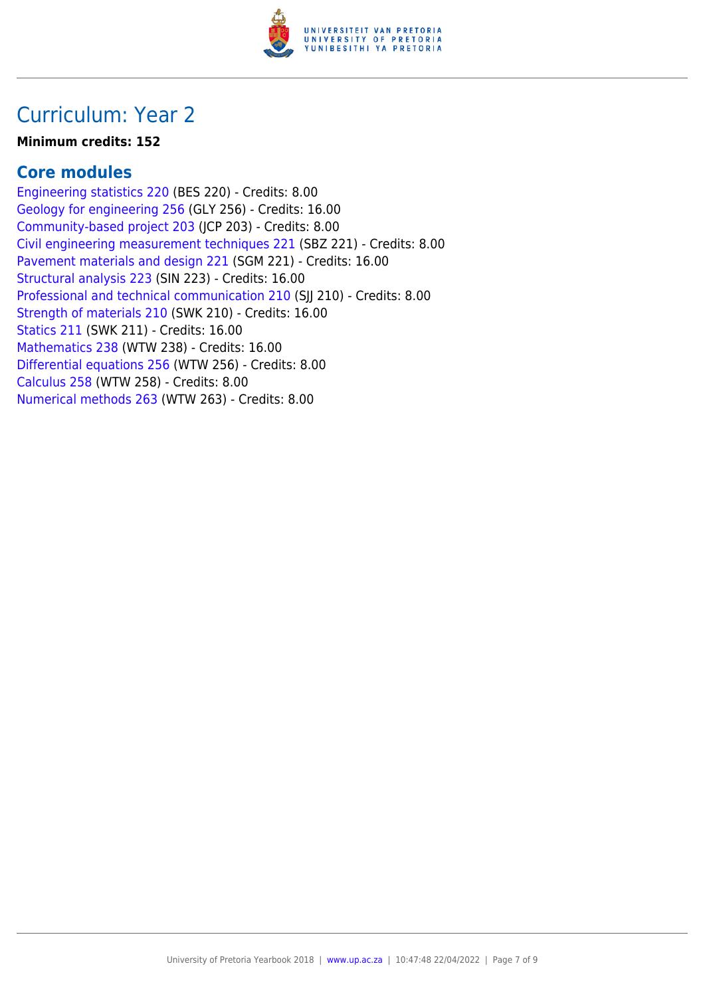

# Curriculum: Year 2

#### **Minimum credits: 152**

### **Core modules**

[Engineering statistics 220](https://www.up.ac.za/yearbooks/2018/modules/view/BES 220) (BES 220) - Credits: 8.00 [Geology for engineering 256](https://www.up.ac.za/yearbooks/2018/modules/view/GLY 256) (GLY 256) - Credits: 16.00 [Community-based project 203](https://www.up.ac.za/yearbooks/2018/modules/view/JCP 203) (JCP 203) - Credits: 8.00 [Civil engineering measurement techniques 221](https://www.up.ac.za/yearbooks/2018/modules/view/SBZ 221) (SBZ 221) - Credits: 8.00 [Pavement materials and design 221](https://www.up.ac.za/yearbooks/2018/modules/view/SGM 221) (SGM 221) - Credits: 16.00 [Structural analysis 223](https://www.up.ac.za/yearbooks/2018/modules/view/SIN 223) (SIN 223) - Credits: 16.00 [Professional and technical communication 210](https://www.up.ac.za/yearbooks/2018/modules/view/SJJ 210) (SJJ 210) - Credits: 8.00 [Strength of materials 210](https://www.up.ac.za/yearbooks/2018/modules/view/SWK 210) (SWK 210) - Credits: 16.00 [Statics 211](https://www.up.ac.za/yearbooks/2018/modules/view/SWK 211) (SWK 211) - Credits: 16.00 [Mathematics 238](https://www.up.ac.za/yearbooks/2018/modules/view/WTW 238) (WTW 238) - Credits: 16.00 [Differential equations 256](https://www.up.ac.za/yearbooks/2018/modules/view/WTW 256) (WTW 256) - Credits: 8.00 [Calculus 258](https://www.up.ac.za/yearbooks/2018/modules/view/WTW 258) (WTW 258) - Credits: 8.00 [Numerical methods 263](https://www.up.ac.za/yearbooks/2018/modules/view/WTW 263) (WTW 263) - Credits: 8.00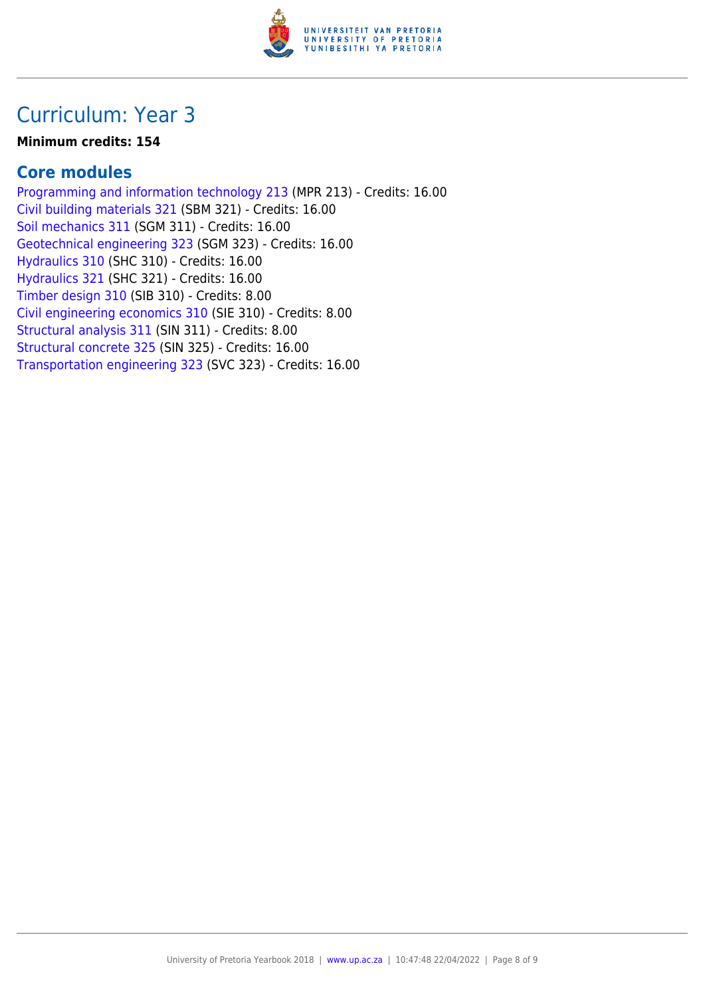

# Curriculum: Year 3

#### **Minimum credits: 154**

### **Core modules**

[Programming and information technology 213](https://www.up.ac.za/yearbooks/2018/modules/view/MPR 213) (MPR 213) - Credits: 16.00 [Civil building materials 321](https://www.up.ac.za/yearbooks/2018/modules/view/SBM 321) (SBM 321) - Credits: 16.00 [Soil mechanics 311](https://www.up.ac.za/yearbooks/2018/modules/view/SGM 311) (SGM 311) - Credits: 16.00 [Geotechnical engineering 323](https://www.up.ac.za/yearbooks/2018/modules/view/SGM 323) (SGM 323) - Credits: 16.00 [Hydraulics 310](https://www.up.ac.za/yearbooks/2018/modules/view/SHC 310) (SHC 310) - Credits: 16.00 [Hydraulics 321](https://www.up.ac.za/yearbooks/2018/modules/view/SHC 321) (SHC 321) - Credits: 16.00 [Timber design 310](https://www.up.ac.za/yearbooks/2018/modules/view/SIB 310) (SIB 310) - Credits: 8.00 [Civil engineering economics 310](https://www.up.ac.za/yearbooks/2018/modules/view/SIE 310) (SIE 310) - Credits: 8.00 [Structural analysis 311](https://www.up.ac.za/yearbooks/2018/modules/view/SIN 311) (SIN 311) - Credits: 8.00 [Structural concrete 325](https://www.up.ac.za/yearbooks/2018/modules/view/SIN 325) (SIN 325) - Credits: 16.00 [Transportation engineering 323](https://www.up.ac.za/yearbooks/2018/modules/view/SVC 323) (SVC 323) - Credits: 16.00